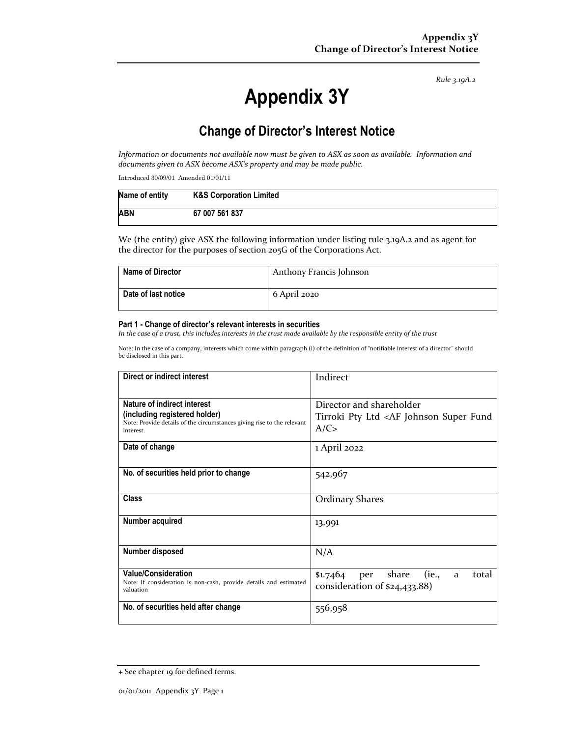*Rule 3.19A.2*

# **Appendix 3Y**

## **Change of Director's Interest Notice**

Information or documents not available now must be given to ASX as soon as available. Information and *documents given to ASX become ASX's property and may be made public.*

Introduced 30/09/01 Amended 01/01/11

| Name of entity | <b>K&amp;S Corporation Limited</b> |
|----------------|------------------------------------|
| <b>ABN</b>     | 67 007 561 837                     |

We (the entity) give ASX the following information under listing rule 3.19A.2 and as agent for the director for the purposes of section 205G of the Corporations Act.

| <b>Name of Director</b> | Anthony Francis Johnson |
|-------------------------|-------------------------|
| Date of last notice     | 6 April 2020            |

#### **Part 1 - Change of director's relevant interests in securities**

In the case of a trust, this includes interests in the trust made available by the responsible entity of the trust

Note: In the case of a company, interests which come within paragraph (i) of the definition of "notifiable interest of a director" should be disclosed in this part.

| Direct or indirect interest                                                                                                                         | Indirect                                                                                |  |
|-----------------------------------------------------------------------------------------------------------------------------------------------------|-----------------------------------------------------------------------------------------|--|
| Nature of indirect interest<br>(including registered holder)<br>Note: Provide details of the circumstances giving rise to the relevant<br>interest. | Director and shareholder<br>Tirroki Pty Ltd <af fund<br="" johnson="" super="">A/C</af> |  |
| Date of change                                                                                                                                      | 1 April 2022                                                                            |  |
| No. of securities held prior to change                                                                                                              | 542,967                                                                                 |  |
| Class                                                                                                                                               | <b>Ordinary Shares</b>                                                                  |  |
| Number acquired                                                                                                                                     | 13,991                                                                                  |  |
| Number disposed                                                                                                                                     | N/A                                                                                     |  |
| <b>Value/Consideration</b><br>Note: If consideration is non-cash, provide details and estimated<br>valuation                                        | per share<br>(ie.,<br>total<br>\$1.7464<br>a<br>consideration of \$24,433.88)           |  |
| No. of securities held after change                                                                                                                 | 556,958                                                                                 |  |

<sup>+</sup> See chapter 19 for defined terms.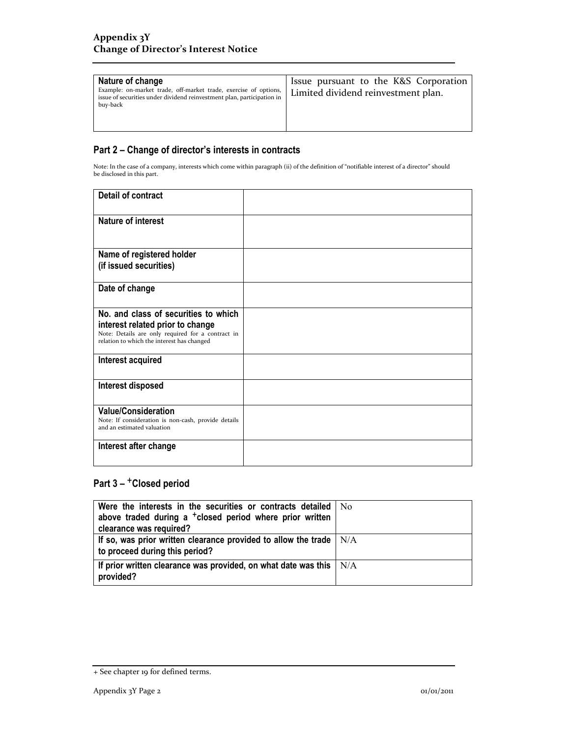| Nature of change<br>Example: on-market trade, off-market trade, exercise of options,<br>issue of securities under dividend reinvestment plan, participation in<br>buy-back | Issue pursuant to the K&S Corporation<br>Limited dividend reinvestment plan. |
|----------------------------------------------------------------------------------------------------------------------------------------------------------------------------|------------------------------------------------------------------------------|
|----------------------------------------------------------------------------------------------------------------------------------------------------------------------------|------------------------------------------------------------------------------|

### **Part 2 – Change of director's interests in contracts**

Note: In the case of a company, interests which come within paragraph (ii) of the definition of "notifiable interest of a director" should be disclosed in this part.

| Detail of contract                                                                                                                                                          |  |
|-----------------------------------------------------------------------------------------------------------------------------------------------------------------------------|--|
| <b>Nature of interest</b>                                                                                                                                                   |  |
| Name of registered holder<br>(if issued securities)                                                                                                                         |  |
| Date of change                                                                                                                                                              |  |
| No. and class of securities to which<br>interest related prior to change<br>Note: Details are only required for a contract in<br>relation to which the interest has changed |  |
| Interest acquired                                                                                                                                                           |  |
| Interest disposed                                                                                                                                                           |  |
| <b>Value/Consideration</b><br>Note: If consideration is non-cash, provide details<br>and an estimated valuation                                                             |  |
| Interest after change                                                                                                                                                       |  |

## Part 3 - <sup>+</sup>Closed period

| Were the interests in the securities or contracts detailed   No<br>above traded during a <sup>+</sup> closed period where prior written<br>clearance was required? |  |
|--------------------------------------------------------------------------------------------------------------------------------------------------------------------|--|
| If so, was prior written clearance provided to allow the trade $\vert$ N/A<br>to proceed during this period?                                                       |  |
| If prior written clearance was provided, on what date was this $\mid N/A \rangle$<br>provided?                                                                     |  |

<sup>+</sup> See chapter 19 for defined terms.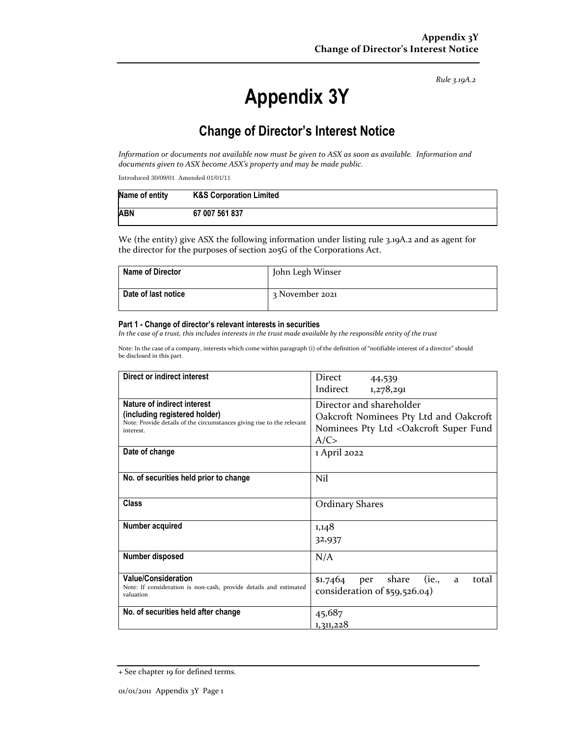*Rule 3.19A.2*

# **Appendix 3Y**

## **Change of Director's Interest Notice**

Information or documents not available now must be given to ASX as soon as available. Information and *documents given to ASX become ASX's property and may be made public.*

Introduced 30/09/01 Amended 01/01/11

| Name of entity | <b>K&amp;S Corporation Limited</b> |
|----------------|------------------------------------|
| <b>ABN</b>     | 67 007 561 837                     |

We (the entity) give ASX the following information under listing rule 3.19A.2 and as agent for the director for the purposes of section 205G of the Corporations Act.

| <b>Name of Director</b> | John Legh Winser |
|-------------------------|------------------|
| Date of last notice     | 3 November 2021  |

#### **Part 1 - Change of director's relevant interests in securities**

In the case of a trust, this includes interests in the trust made available by the responsible entity of the trust

Note: In the case of a company, interests which come within paragraph (i) of the definition of "notifiable interest of a director" should be disclosed in this part.

| Direct or indirect interest                                                                                                                         | Direct<br>44,539                                                                                                    |  |
|-----------------------------------------------------------------------------------------------------------------------------------------------------|---------------------------------------------------------------------------------------------------------------------|--|
|                                                                                                                                                     | Indirect<br>1,278,291                                                                                               |  |
| Nature of indirect interest<br>(including registered holder)<br>Note: Provide details of the circumstances giving rise to the relevant<br>interest. | Director and shareholder<br>Oakcroft Nominees Pty Ltd and Oakcroft<br>Nominees Pty Ltd < Oakcroft Super Fund<br>A/C |  |
| Date of change                                                                                                                                      | 1 April 2022                                                                                                        |  |
| No. of securities held prior to change                                                                                                              | Nil                                                                                                                 |  |
| <b>Class</b>                                                                                                                                        | <b>Ordinary Shares</b>                                                                                              |  |
| Number acquired                                                                                                                                     | 1,148                                                                                                               |  |
|                                                                                                                                                     | 32,937                                                                                                              |  |
| Number disposed                                                                                                                                     | N/A                                                                                                                 |  |
| <b>Value/Consideration</b><br>Note: If consideration is non-cash, provide details and estimated<br>valuation                                        | \$1.7464 per share<br>(ie.,<br>total<br>a<br>consideration of \$59,526.04)                                          |  |
| No. of securities held after change                                                                                                                 | 45,687<br>1,311,228                                                                                                 |  |

<sup>+</sup> See chapter 19 for defined terms.